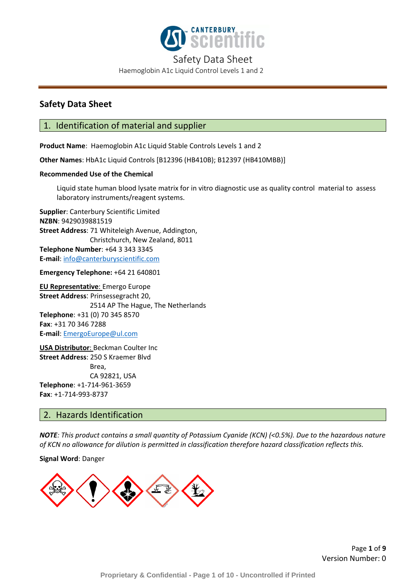

Haemoglobin A1c Liquid Control Levels 1 and 2

## **Safety Data Sheet**

### 1. Identification of material and supplier

**Product Name**: Haemoglobin A1c Liquid Stable Controls Levels 1 and 2

**Other Names**: HbA1c Liquid Controls [B12396 (HB410B); B12397 (HB410MBB)]

### **Recommended Use of the Chemical**

Liquid state human blood lysate matrix for in vitro diagnostic use as quality control material to assess laboratory instruments/reagent systems.

**Supplier**: Canterbury Scientific Limited **NZBN**: 9429039881519 **Street Address**: 71 Whiteleigh Avenue, Addington, Christchurch, New Zealand, 8011 **Telephone Number**: +64 3 343 3345 **E-mail**: [info@canterburyscientific.com](mailto:info@canterburyscientific.com)

**Emergency Telephone:** +64 21 640801

**EU Representative**: Emergo Europe **Street Address**: Prinsessegracht 20, 2514 AP The Hague, The Netherlands **Telephone**: +31 (0) 70 345 8570 **Fax**: +31 70 346 7288 **E-mail**: [EmergoEurope@ul.com](mailto:EmergoEurope@ul.com)

**USA Distributor**: Beckman Coulter Inc **Street Address**: 250 S Kraemer Blvd Brea, CA 92821, USA **Telephone**: +1-714-961-3659 **Fax**: +1-714-993-8737

### 2. Hazards Identification

*NOTE: This product contains a small quantity of Potassium Cyanide (KCN) (<0.5%). Due to the hazardous nature of KCN no allowance for dilution is permitted in classification therefore hazard classification reflects this.*

**Signal Word**: Danger

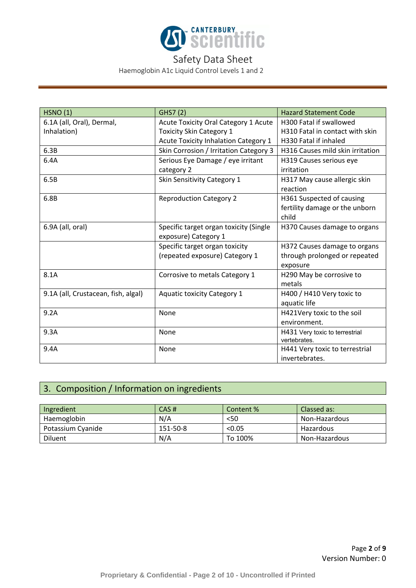

Haemoglobin A1c Liquid Control Levels 1 and 2

| <b>HSNO (1)</b>                     | GHS7 (2)                               | <b>Hazard Statement Code</b>     |
|-------------------------------------|----------------------------------------|----------------------------------|
| 6.1A (all, Oral), Dermal,           | Acute Toxicity Oral Category 1 Acute   | H300 Fatal if swallowed          |
| Inhalation)                         | <b>Toxicity Skin Category 1</b>        | H310 Fatal in contact with skin  |
|                                     | Acute Toxicity Inhalation Category 1   | H330 Fatal if inhaled            |
| 6.3B                                | Skin Corrosion / Irritation Category 3 | H316 Causes mild skin irritation |
| 6.4A                                | Serious Eye Damage / eye irritant      | H319 Causes serious eye          |
|                                     | category 2                             | irritation                       |
| 6.5B                                | Skin Sensitivity Category 1            | H317 May cause allergic skin     |
|                                     |                                        | reaction                         |
| 6.8B                                | <b>Reproduction Category 2</b>         | H361 Suspected of causing        |
|                                     |                                        | fertility damage or the unborn   |
|                                     |                                        | child                            |
| 6.9A (all, oral)                    | Specific target organ toxicity (Single | H370 Causes damage to organs     |
|                                     | exposure) Category 1                   |                                  |
|                                     | Specific target organ toxicity         | H372 Causes damage to organs     |
|                                     | (repeated exposure) Category 1         | through prolonged or repeated    |
|                                     |                                        | exposure                         |
| 8.1A                                | Corrosive to metals Category 1         | H290 May be corrosive to         |
|                                     |                                        | metals                           |
| 9.1A (all, Crustacean, fish, algal) | <b>Aquatic toxicity Category 1</b>     | H400 / H410 Very toxic to        |
|                                     |                                        | aquatic life                     |
| 9.2A                                | None                                   | H421Very toxic to the soil       |
|                                     |                                        | environment.                     |
| 9.3A                                | None                                   | H431 Very toxic to terrestrial   |
|                                     |                                        | vertebrates.                     |
| 9.4A                                | None                                   | H441 Very toxic to terrestrial   |
|                                     |                                        | invertebrates.                   |

# 3. Composition / Information on ingredients

| Ingredient        | CAS#     | Content % | Classed as:   |
|-------------------|----------|-----------|---------------|
| Haemoglobin       | N/A      | <50       | Non-Hazardous |
| Potassium Cyanide | 151-50-8 | < 0.05    | Hazardous     |
| <b>Diluent</b>    | N/A      | To 100%   | Non-Hazardous |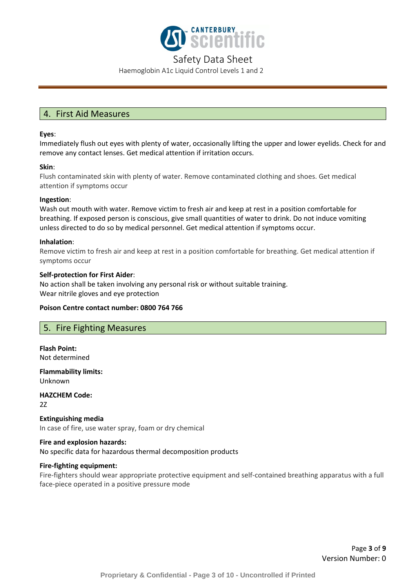

Haemoglobin A1c Liquid Control Levels 1 and 2

# 4. First Aid Measures

### **Eyes**:

Immediately flush out eyes with plenty of water, occasionally lifting the upper and lower eyelids. Check for and remove any contact lenses. Get medical attention if irritation occurs.

### **Skin**:

Flush contaminated skin with plenty of water. Remove contaminated clothing and shoes. Get medical attention if symptoms occur

### **Ingestion**:

Wash out mouth with water. Remove victim to fresh air and keep at rest in a position comfortable for breathing. If exposed person is conscious, give small quantities of water to drink. Do not induce vomiting unless directed to do so by medical personnel. Get medical attention if symptoms occur.

### **Inhalation**:

Remove victim to fresh air and keep at rest in a position comfortable for breathing. Get medical attention if symptoms occur

### **Self-protection for First Aider**:

No action shall be taken involving any personal risk or without suitable training. Wear nitrile gloves and eye protection

### **Poison Centre contact number: 0800 764 766**

### 5. Fire Fighting Measures

**Flash Point:** Not determined

**Flammability limits:** Unknown

**HAZCHEM Code:** 2Z

**Extinguishing media** In case of fire, use water spray, foam or dry chemical

# **Fire and explosion hazards:**

No specific data for hazardous thermal decomposition products

### **Fire-fighting equipment:**

Fire-fighters should wear appropriate protective equipment and self-contained breathing apparatus with a full face-piece operated in a positive pressure mode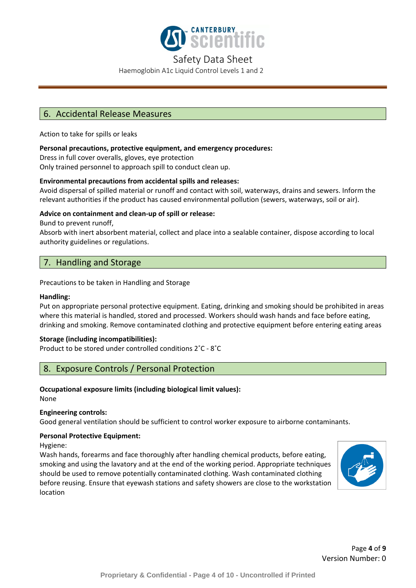

Haemoglobin A1c Liquid Control Levels 1 and 2

## 6. Accidental Release Measures

Action to take for spills or leaks

### **Personal precautions, protective equipment, and emergency procedures:**

Dress in full cover overalls, gloves, eye protection

Only trained personnel to approach spill to conduct clean up.

### **Environmental precautions from accidental spills and releases:**

Avoid dispersal of spilled material or runoff and contact with soil, waterways, drains and sewers. Inform the relevant authorities if the product has caused environmental pollution (sewers, waterways, soil or air).

### **Advice on containment and clean-up of spill or release:**

Bund to prevent runoff,

Absorb with inert absorbent material, collect and place into a sealable container, dispose according to local authority guidelines or regulations.

## 7. Handling and Storage

Precautions to be taken in Handling and Storage

### **Handling:**

Put on appropriate personal protective equipment. Eating, drinking and smoking should be prohibited in areas where this material is handled, stored and processed. Workers should wash hands and face before eating, drinking and smoking. Remove contaminated clothing and protective equipment before entering eating areas

### **Storage (including incompatibilities):**

Product to be stored under controlled conditions 2˚C - 8˚C

# 8. Exposure Controls / Personal Protection

### **Occupational exposure limits (including biological limit values):**

None

### **Engineering controls:**

Good general ventilation should be sufficient to control worker exposure to airborne contaminants.

### **Personal Protective Equipment:**

Hygiene:

Wash hands, forearms and face thoroughly after handling chemical products, before eating, smoking and using the lavatory and at the end of the working period. Appropriate techniques should be used to remove potentially contaminated clothing. Wash contaminated clothing before reusing. Ensure that eyewash stations and safety showers are close to the workstation location

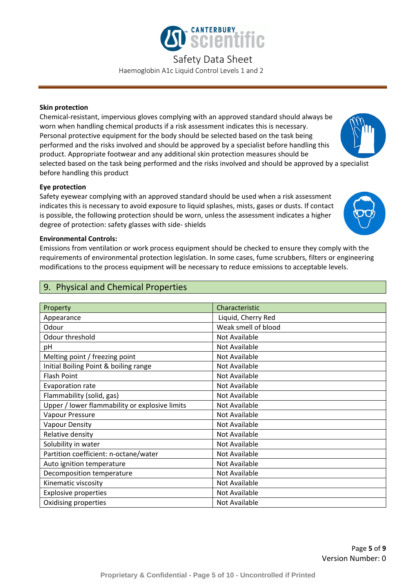

Haemoglobin A1c Liquid Control Levels 1 and 2

### **Skin protection**

Chemical-resistant, impervious gloves complying with an approved standard should always be worn when handling chemical products if a risk assessment indicates this is necessary. Personal protective equipment for the body should be selected based on the task being performed and the risks involved and should be approved by a specialist before handling this product. Appropriate footwear and any additional skin protection measures should be selected based on the task being performed and the risks involved and should be approved by a specialist before handling this product

### **Eye protection**

Safety eyewear complying with an approved standard should be used when a risk assessment indicates this is necessary to avoid exposure to liquid splashes, mists, gases or dusts. If contact is possible, the following protection should be worn, unless the assessment indicates a higher degree of protection: safety glasses with side- shields

### **Environmental Controls:**

Emissions from ventilation or work process equipment should be checked to ensure they comply with the requirements of environmental protection legislation. In some cases, fume scrubbers, filters or engineering modifications to the process equipment will be necessary to reduce emissions to acceptable levels.

## 9. Physical and Chemical Properties

| Property                                       | Characteristic      |
|------------------------------------------------|---------------------|
| Appearance                                     | Liquid, Cherry Red  |
| Odour                                          | Weak smell of blood |
| Odour threshold                                | Not Available       |
| pH                                             | Not Available       |
| Melting point / freezing point                 | Not Available       |
| Initial Boiling Point & boiling range          | Not Available       |
| Flash Point                                    | Not Available       |
| Evaporation rate                               | Not Available       |
| Flammability (solid, gas)                      | Not Available       |
| Upper / lower flammability or explosive limits | Not Available       |
| Vapour Pressure                                | Not Available       |
| <b>Vapour Density</b>                          | Not Available       |
| Relative density                               | Not Available       |
| Solubility in water                            | Not Available       |
| Partition coefficient: n-octane/water          | Not Available       |
| Auto ignition temperature                      | Not Available       |
| Decomposition temperature                      | Not Available       |
| Kinematic viscosity                            | Not Available       |
| <b>Explosive properties</b>                    | Not Available       |
| Oxidising properties                           | Not Available       |

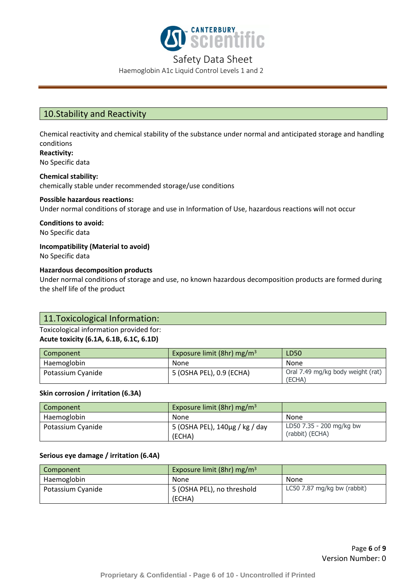

Haemoglobin A1c Liquid Control Levels 1 and 2

# 10.Stability and Reactivity

Chemical reactivity and chemical stability of the substance under normal and anticipated storage and handling conditions

**Reactivity:** No Specific data

**Chemical stability:** chemically stable under recommended storage/use conditions

### **Possible hazardous reactions:**

Under normal conditions of storage and use in Information of Use, hazardous reactions will not occur

**Conditions to avoid:** No Specific data

**Incompatibility (Material to avoid)** No Specific data

### **Hazardous decomposition products**

Under normal conditions of storage and use, no known hazardous decomposition products are formed during the shelf life of the product

### 11.Toxicological Information:

### Toxicological information provided for: **Acute toxicity (6.1A, 6.1B, 6.1C, 6.1D)**

| Component         | Exposure limit (8hr) mg/m <sup>3</sup> | LD50                                        |
|-------------------|----------------------------------------|---------------------------------------------|
| Haemoglobin       | None                                   | <b>None</b>                                 |
| Potassium Cyanide | 5 (OSHA PEL), 0.9 (ECHA)               | Oral 7.49 mg/kg body weight (rat)<br>(ECHA) |

### **Skin corrosion / irritation (6.3A)**

| Component         | Exposure limit (8hr) mg/m <sup>3</sup>   |                                             |
|-------------------|------------------------------------------|---------------------------------------------|
| Haemoglobin       | None                                     | None                                        |
| Potassium Cyanide | 5 (OSHA PEL), 140μg / kg / day<br>(ECHA) | LD50 7.35 - 200 mg/kg bw<br>(rabbit) (ECHA) |

### **Serious eye damage / irritation (6.4A)**

| Component         | Exposure limit (8hr) mg/m <sup>3</sup> |                             |
|-------------------|----------------------------------------|-----------------------------|
| Haemoglobin       | None                                   | None                        |
| Potassium Cyanide | 5 (OSHA PEL), no threshold<br>(ECHA)   | LC50 7.87 mg/kg bw (rabbit) |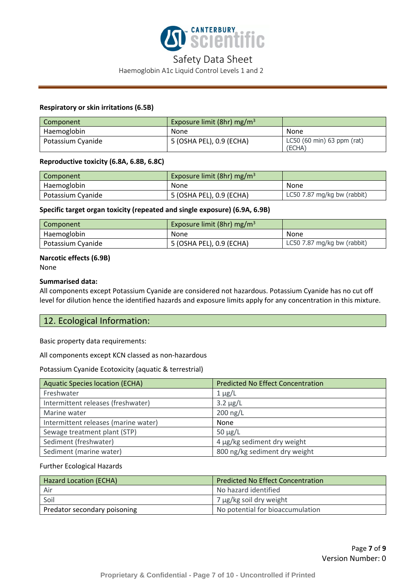

### Haemoglobin A1c Liquid Control Levels 1 and 2

### **Respiratory or skin irritations (6.5B)**

| Component         | Exposure limit (8hr) mg/m <sup>3</sup> |                                        |
|-------------------|----------------------------------------|----------------------------------------|
| Haemoglobin       | None                                   | None                                   |
| Potassium Cyanide | 5 (OSHA PEL), 0.9 (ECHA)               | $LC50$ (60 min) 63 ppm (rat)<br>(ECHA) |

#### **Reproductive toxicity (6.8A, 6.8B, 6.8C)**

| Component         | Exposure limit (8hr) mg/m <sup>3</sup> |                             |
|-------------------|----------------------------------------|-----------------------------|
| Haemoglobin       | None                                   | None                        |
| Potassium Cyanide | 5 (OSHA PEL), 0.9 (ECHA)               | LC50 7.87 mg/kg bw (rabbit) |

#### **Specific target organ toxicity (repeated and single exposure) (6.9A, 6.9B)**

| Component         | Exposure limit (8hr) mg/m <sup>3</sup> |                             |
|-------------------|----------------------------------------|-----------------------------|
| Haemoglobin       | None                                   | None                        |
| Potassium Cyanide | 5 (OSHA PEL), 0.9 (ECHA)               | LC50 7.87 mg/kg bw (rabbit) |

### **Narcotic effects (6.9B)**

None

### **Summarised data:**

All components except Potassium Cyanide are considered not hazardous. Potassium Cyanide has no cut off level for dilution hence the identified hazards and exposure limits apply for any concentration in this mixture.

### 12. Ecological Information:

Basic property data requirements:

All components except KCN classed as non-hazardous

#### Potassium Cyanide Ecotoxicity (aquatic & terrestrial)

| <b>Aquatic Species location (ECHA)</b> | <b>Predicted No Effect Concentration</b> |
|----------------------------------------|------------------------------------------|
| Freshwater                             | $1 \mu g/L$                              |
| Intermittent releases (freshwater)     | $3.2 \mu g/L$                            |
| Marine water                           | $200$ ng/L                               |
| Intermittent releases (marine water)   | None                                     |
| Sewage treatment plant (STP)           | $50 \mu g/L$                             |
| Sediment (freshwater)                  | 4 µg/kg sediment dry weight              |
| Sediment (marine water)                | 800 ng/kg sediment dry weight            |

#### Further Ecological Hazards

| <b>Hazard Location (ECHA)</b> | <b>Predicted No Effect Concentration</b> |
|-------------------------------|------------------------------------------|
| . Air                         | No hazard identified                     |
| Soil                          | 7 µg/kg soil dry weight                  |
| Predator secondary poisoning  | No potential for bioaccumulation         |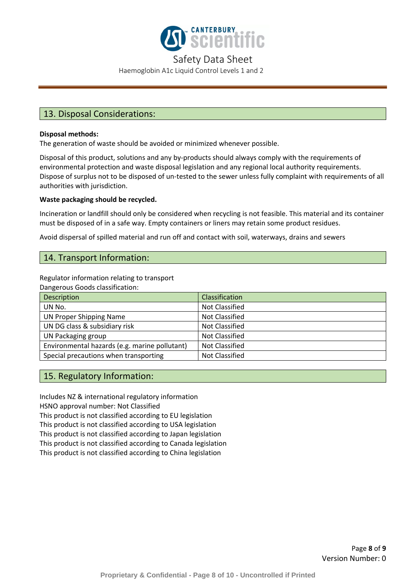

Haemoglobin A1c Liquid Control Levels 1 and 2

## 13. Disposal Considerations:

### **Disposal methods:**

The generation of waste should be avoided or minimized whenever possible.

Disposal of this product, solutions and any by-products should always comply with the requirements of environmental protection and waste disposal legislation and any regional local authority requirements. Dispose of surplus not to be disposed of un-tested to the sewer unless fully complaint with requirements of all authorities with jurisdiction.

### **Waste packaging should be recycled.**

Incineration or landfill should only be considered when recycling is not feasible. This material and its container must be disposed of in a safe way. Empty containers or liners may retain some product residues.

Avoid dispersal of spilled material and run off and contact with soil, waterways, drains and sewers

### 14. Transport Information:

Regulator information relating to transport

Dangerous Goods classification:

| <b>Description</b>                            | Classification        |
|-----------------------------------------------|-----------------------|
| UN No.                                        | <b>Not Classified</b> |
| UN Proper Shipping Name                       | <b>Not Classified</b> |
| UN DG class & subsidiary risk                 | <b>Not Classified</b> |
| UN Packaging group                            | Not Classified        |
| Environmental hazards (e.g. marine pollutant) | <b>Not Classified</b> |
| Special precautions when transporting         | Not Classified        |

### 15. Regulatory Information:

Includes NZ & international regulatory information HSNO approval number: Not Classified This product is not classified according to EU legislation This product is not classified according to USA legislation This product is not classified according to Japan legislation This product is not classified according to Canada legislation This product is not classified according to China legislation